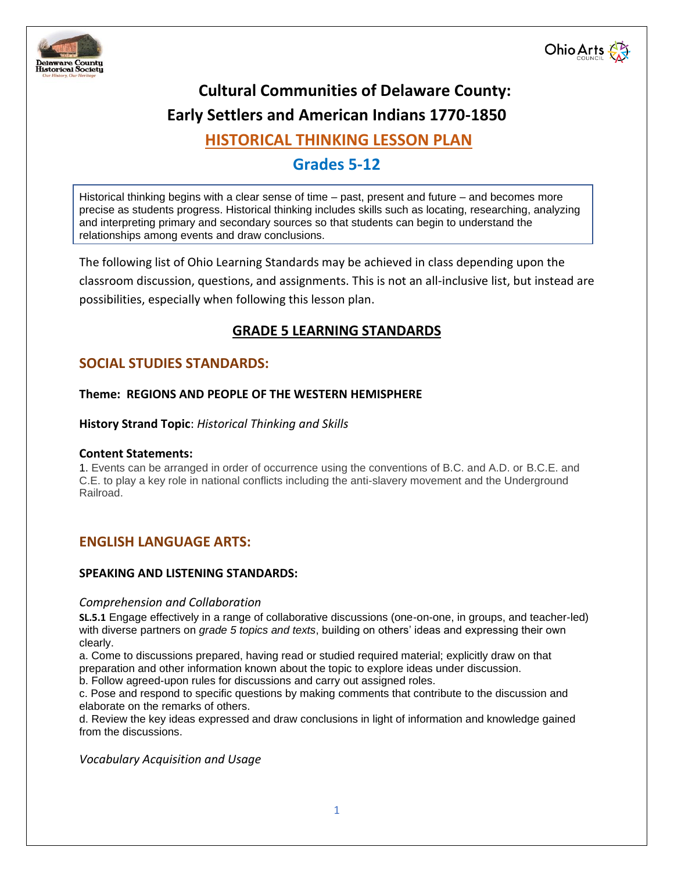



# **Cultural Communities of Delaware County:**

# **Early Settlers and American Indians 1770-1850**

# **HISTORICAL THINKING LESSON PLAN**

# **Grades 5-12**

Historical thinking begins with a clear sense of time – past, present and future – and becomes more precise as students progress. Historical thinking includes skills such as locating, researching, analyzing and interpreting primary and secondary sources so that students can begin to understand the relationships among events and draw conclusions.

The following list of Ohio Learning Standards may be achieved in class depending upon the classroom discussion, questions, and assignments. This is not an all-inclusive list, but instead are possibilities, especially when following this lesson plan.

## **GRADE 5 LEARNING STANDARDS**

## **SOCIAL STUDIES STANDARDS:**

## **Theme: REGIONS AND PEOPLE OF THE WESTERN HEMISPHERE**

**History Strand Topic**: *Historical Thinking and Skills* 

## **Content Statements:**

1. Events can be arranged in order of occurrence using the conventions of B.C. and A.D. or B.C.E. and C.E. to play a key role in national conflicts including the anti-slavery movement and the Underground Railroad.

## **ENGLISH LANGUAGE ARTS:**

## **SPEAKING AND LISTENING STANDARDS:**

## *Comprehension and Collaboration*

**SL.5.1** Engage effectively in a range of collaborative discussions (one-on-one, in groups, and teacher-led) with diverse partners on *grade 5 topics and texts*, building on others' ideas and expressing their own clearly.

a. Come to discussions prepared, having read or studied required material; explicitly draw on that preparation and other information known about the topic to explore ideas under discussion.

b. Follow agreed-upon rules for discussions and carry out assigned roles.

c. Pose and respond to specific questions by making comments that contribute to the discussion and elaborate on the remarks of others.

d. Review the key ideas expressed and draw conclusions in light of information and knowledge gained from the discussions.

*Vocabulary Acquisition and Usage*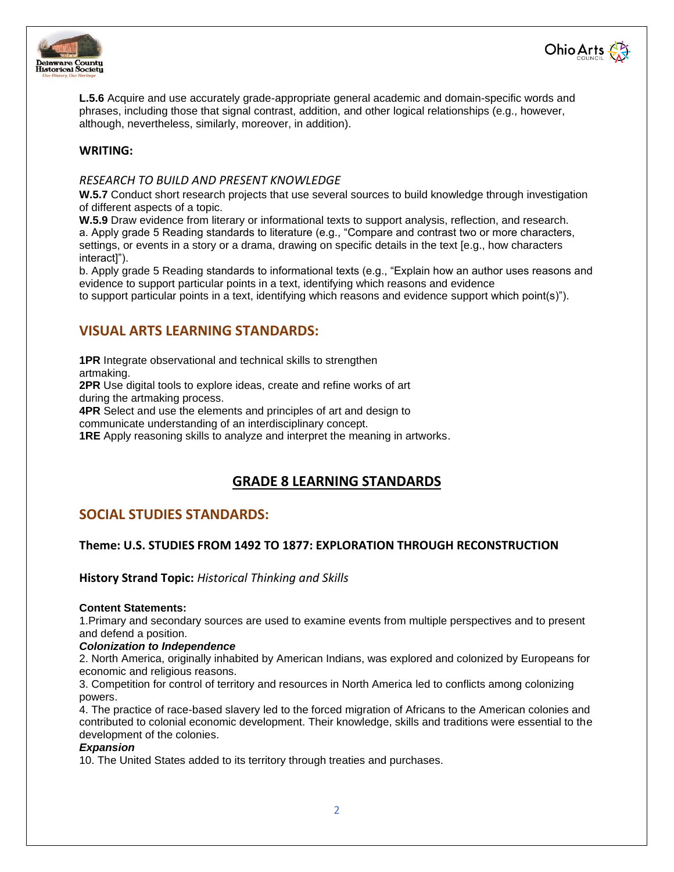



**L.5.6** Acquire and use accurately grade-appropriate general academic and domain-specific words and phrases, including those that signal contrast, addition, and other logical relationships (e.g., however, although, nevertheless, similarly, moreover, in addition).

## **WRITING:**

#### *RESEARCH TO BUILD AND PRESENT KNOWLEDGE*

W.5.7 Conduct short research projects that use several sources to build knowledge through investigation of different aspects of a topic.

**W.5.9** Draw evidence from literary or informational texts to support analysis, reflection, and research. a. Apply grade 5 Reading standards to literature (e.g., "Compare and contrast two or more characters, settings, or events in a story or a drama, drawing on specific details in the text [e.g., how characters interact]").

b. Apply grade 5 Reading standards to informational texts (e.g., "Explain how an author uses reasons and evidence to support particular points in a text, identifying which reasons and evidence to support particular points in a text, identifying which reasons and evidence support which point(s)").

## **VISUAL ARTS LEARNING STANDARDS:**

**1PR** Integrate observational and technical skills to strengthen

artmaking.

**2PR** Use digital tools to explore ideas, create and refine works of art during the artmaking process.

**4PR** Select and use the elements and principles of art and design to

communicate understanding of an interdisciplinary concept.

**1RE** Apply reasoning skills to analyze and interpret the meaning in artworks.

## **GRADE 8 LEARNING STANDARDS**

## **SOCIAL STUDIES STANDARDS:**

## **Theme: U.S. STUDIES FROM 1492 TO 1877: EXPLORATION THROUGH RECONSTRUCTION**

**History Strand Topic:** *Historical Thinking and Skills*

#### **Content Statements:**

1.Primary and secondary sources are used to examine events from multiple perspectives and to present and defend a position.

#### *Colonization to Independence*

2. North America, originally inhabited by American Indians, was explored and colonized by Europeans for economic and religious reasons.

3. Competition for control of territory and resources in North America led to conflicts among colonizing powers.

4. The practice of race-based slavery led to the forced migration of Africans to the American colonies and contributed to colonial economic development. Their knowledge, skills and traditions were essential to the development of the colonies.

#### *Expansion*

10. The United States added to its territory through treaties and purchases.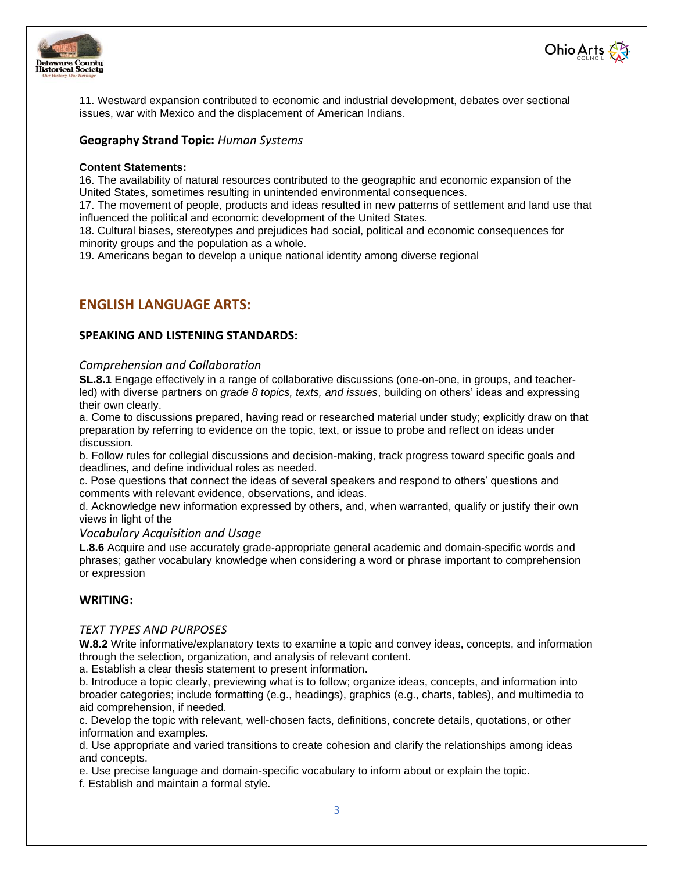



11. Westward expansion contributed to economic and industrial development, debates over sectional issues, war with Mexico and the displacement of American Indians.

## **Geography Strand Topic:** *Human Systems*

#### **Content Statements:**

16. The availability of natural resources contributed to the geographic and economic expansion of the United States, sometimes resulting in unintended environmental consequences.

17. The movement of people, products and ideas resulted in new patterns of settlement and land use that influenced the political and economic development of the United States.

18. Cultural biases, stereotypes and prejudices had social, political and economic consequences for minority groups and the population as a whole.

19. Americans began to develop a unique national identity among diverse regional

## **ENGLISH LANGUAGE ARTS:**

## **SPEAKING AND LISTENING STANDARDS:**

#### *Comprehension and Collaboration*

**SL.8.1** Engage effectively in a range of collaborative discussions (one-on-one, in groups, and teacherled) with diverse partners on *grade 8 topics, texts, and issues*, building on others' ideas and expressing their own clearly.

a. Come to discussions prepared, having read or researched material under study; explicitly draw on that preparation by referring to evidence on the topic, text, or issue to probe and reflect on ideas under discussion.

b. Follow rules for collegial discussions and decision-making, track progress toward specific goals and deadlines, and define individual roles as needed.

c. Pose questions that connect the ideas of several speakers and respond to others' questions and comments with relevant evidence, observations, and ideas.

d. Acknowledge new information expressed by others, and, when warranted, qualify or justify their own views in light of the

#### *Vocabulary Acquisition and Usage*

**L.8.6** Acquire and use accurately grade-appropriate general academic and domain-specific words and phrases; gather vocabulary knowledge when considering a word or phrase important to comprehension or expression

#### **WRITING:**

### *TEXT TYPES AND PURPOSES*

**W.8.2** Write informative/explanatory texts to examine a topic and convey ideas, concepts, and information through the selection, organization, and analysis of relevant content.

a. Establish a clear thesis statement to present information.

b. Introduce a topic clearly, previewing what is to follow; organize ideas, concepts, and information into broader categories; include formatting (e.g., headings), graphics (e.g., charts, tables), and multimedia to aid comprehension, if needed.

c. Develop the topic with relevant, well-chosen facts, definitions, concrete details, quotations, or other information and examples.

d. Use appropriate and varied transitions to create cohesion and clarify the relationships among ideas and concepts.

e. Use precise language and domain-specific vocabulary to inform about or explain the topic.

f. Establish and maintain a formal style.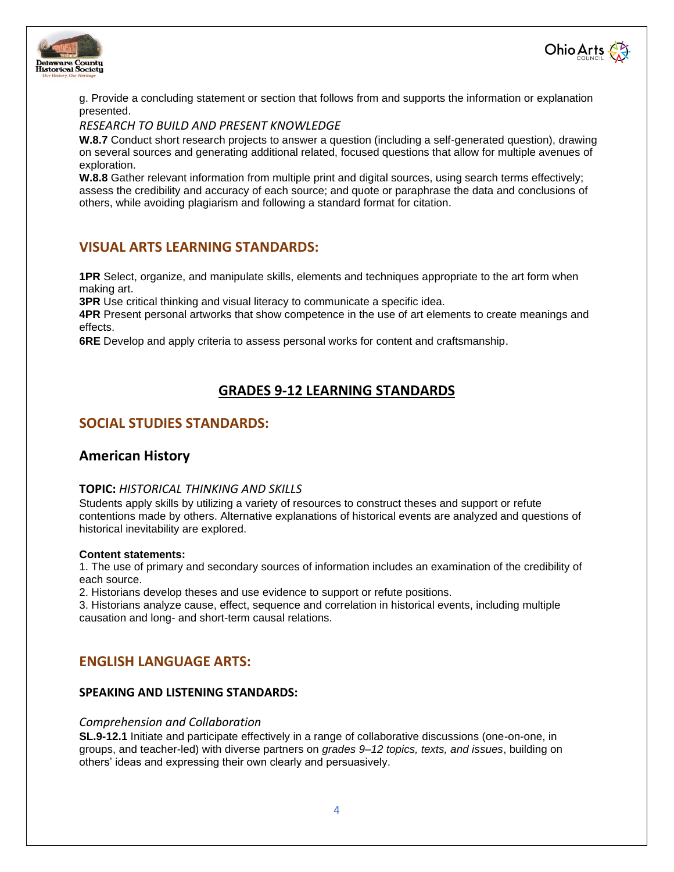



g. Provide a concluding statement or section that follows from and supports the information or explanation presented.

## *RESEARCH TO BUILD AND PRESENT KNOWLEDGE*

**W.8.7** Conduct short research projects to answer a question (including a self-generated question), drawing on several sources and generating additional related, focused questions that allow for multiple avenues of exploration.

**W.8.8** Gather relevant information from multiple print and digital sources, using search terms effectively; assess the credibility and accuracy of each source; and quote or paraphrase the data and conclusions of others, while avoiding plagiarism and following a standard format for citation.

## **VISUAL ARTS LEARNING STANDARDS:**

**1PR** Select, organize, and manipulate skills, elements and techniques appropriate to the art form when making art.

**3PR** Use critical thinking and visual literacy to communicate a specific idea.

**4PR** Present personal artworks that show competence in the use of art elements to create meanings and effects.

**6RE** Develop and apply criteria to assess personal works for content and craftsmanship.

## **GRADES 9-12 LEARNING STANDARDS**

## **SOCIAL STUDIES STANDARDS:**

## **American History**

#### **TOPIC:** *HISTORICAL THINKING AND SKILLS*

Students apply skills by utilizing a variety of resources to construct theses and support or refute contentions made by others. Alternative explanations of historical events are analyzed and questions of historical inevitability are explored.

#### **Content statements:**

1. The use of primary and secondary sources of information includes an examination of the credibility of each source.

2. Historians develop theses and use evidence to support or refute positions.

3. Historians analyze cause, effect, sequence and correlation in historical events, including multiple causation and long- and short-term causal relations.

## **ENGLISH LANGUAGE ARTS:**

## **SPEAKING AND LISTENING STANDARDS:**

#### *Comprehension and Collaboration*

**SL.9-12.1** Initiate and participate effectively in a range of collaborative discussions (one-on-one, in groups, and teacher-led) with diverse partners on *grades 9–12 topics, texts, and issues*, building on others' ideas and expressing their own clearly and persuasively.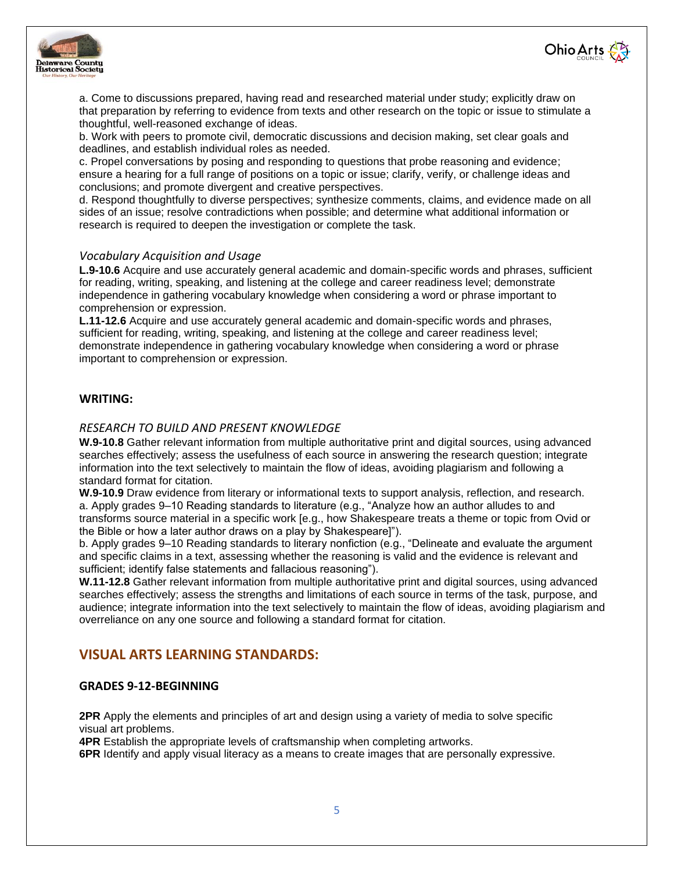



a. Come to discussions prepared, having read and researched material under study; explicitly draw on that preparation by referring to evidence from texts and other research on the topic or issue to stimulate a thoughtful, well-reasoned exchange of ideas.

b. Work with peers to promote civil, democratic discussions and decision making, set clear goals and deadlines, and establish individual roles as needed.

c. Propel conversations by posing and responding to questions that probe reasoning and evidence; ensure a hearing for a full range of positions on a topic or issue; clarify, verify, or challenge ideas and conclusions; and promote divergent and creative perspectives.

d. Respond thoughtfully to diverse perspectives; synthesize comments, claims, and evidence made on all sides of an issue; resolve contradictions when possible; and determine what additional information or research is required to deepen the investigation or complete the task.

#### *Vocabulary Acquisition and Usage*

**L.9-10.6** Acquire and use accurately general academic and domain-specific words and phrases, sufficient for reading, writing, speaking, and listening at the college and career readiness level; demonstrate independence in gathering vocabulary knowledge when considering a word or phrase important to comprehension or expression.

**L.11-12.6** Acquire and use accurately general academic and domain-specific words and phrases, sufficient for reading, writing, speaking, and listening at the college and career readiness level; demonstrate independence in gathering vocabulary knowledge when considering a word or phrase important to comprehension or expression.

## **WRITING:**

#### *RESEARCH TO BUILD AND PRESENT KNOWLEDGE*

**W.9-10.8** Gather relevant information from multiple authoritative print and digital sources, using advanced searches effectively; assess the usefulness of each source in answering the research question; integrate information into the text selectively to maintain the flow of ideas, avoiding plagiarism and following a standard format for citation.

**W.9-10.9** Draw evidence from literary or informational texts to support analysis, reflection, and research. a. Apply grades 9–10 Reading standards to literature (e.g., "Analyze how an author alludes to and transforms source material in a specific work [e.g., how Shakespeare treats a theme or topic from Ovid or the Bible or how a later author draws on a play by Shakespeare]").

b. Apply grades 9–10 Reading standards to literary nonfiction (e.g., "Delineate and evaluate the argument and specific claims in a text, assessing whether the reasoning is valid and the evidence is relevant and sufficient; identify false statements and fallacious reasoning").

**W.11-12.8** Gather relevant information from multiple authoritative print and digital sources, using advanced searches effectively; assess the strengths and limitations of each source in terms of the task, purpose, and audience; integrate information into the text selectively to maintain the flow of ideas, avoiding plagiarism and overreliance on any one source and following a standard format for citation.

## **VISUAL ARTS LEARNING STANDARDS:**

#### **GRADES 9-12-BEGINNING**

**2PR** Apply the elements and principles of art and design using a variety of media to solve specific visual art problems.

**4PR** Establish the appropriate levels of craftsmanship when completing artworks.

**6PR** Identify and apply visual literacy as a means to create images that are personally expressive.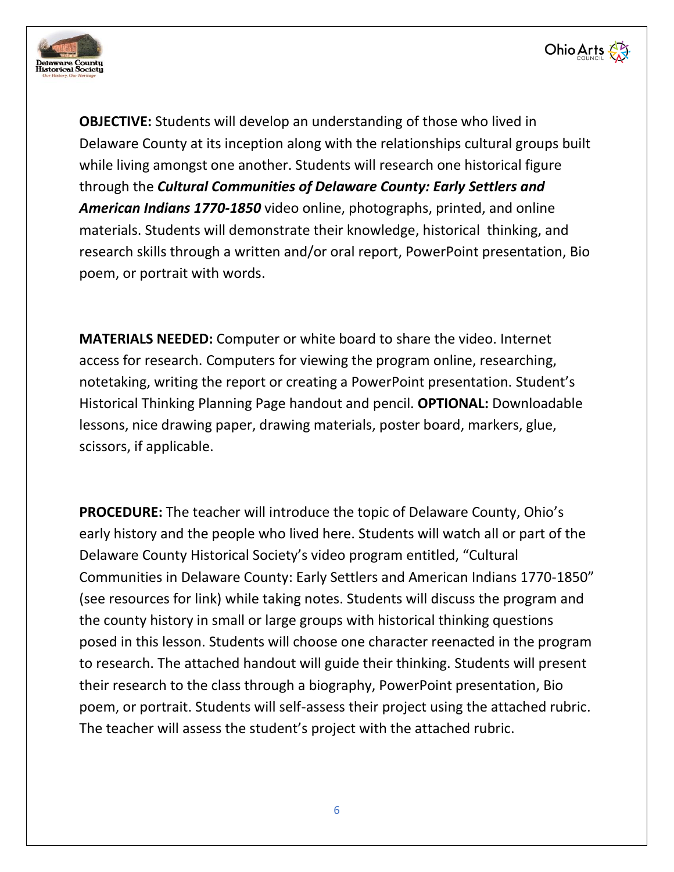



**OBJECTIVE:** Students will develop an understanding of those who lived in Delaware County at its inception along with the relationships cultural groups built while living amongst one another. Students will research one historical figure through the *Cultural Communities of Delaware County: Early Settlers and American Indians 1770-1850* video online, photographs, printed, and online materials. Students will demonstrate their knowledge, historical thinking, and research skills through a written and/or oral report, PowerPoint presentation, Bio poem, or portrait with words.

**MATERIALS NEEDED:** Computer or white board to share the video. Internet access for research. Computers for viewing the program online, researching, notetaking, writing the report or creating a PowerPoint presentation. Student's Historical Thinking Planning Page handout and pencil. **OPTIONAL:** Downloadable lessons, nice drawing paper, drawing materials, poster board, markers, glue, scissors, if applicable.

**PROCEDURE:** The teacher will introduce the topic of Delaware County, Ohio's early history and the people who lived here. Students will watch all or part of the Delaware County Historical Society's video program entitled, "Cultural Communities in Delaware County: Early Settlers and American Indians 1770-1850" (see resources for link) while taking notes. Students will discuss the program and the county history in small or large groups with historical thinking questions posed in this lesson. Students will choose one character reenacted in the program to research. The attached handout will guide their thinking. Students will present their research to the class through a biography, PowerPoint presentation, Bio poem, or portrait. Students will self-assess their project using the attached rubric. The teacher will assess the student's project with the attached rubric.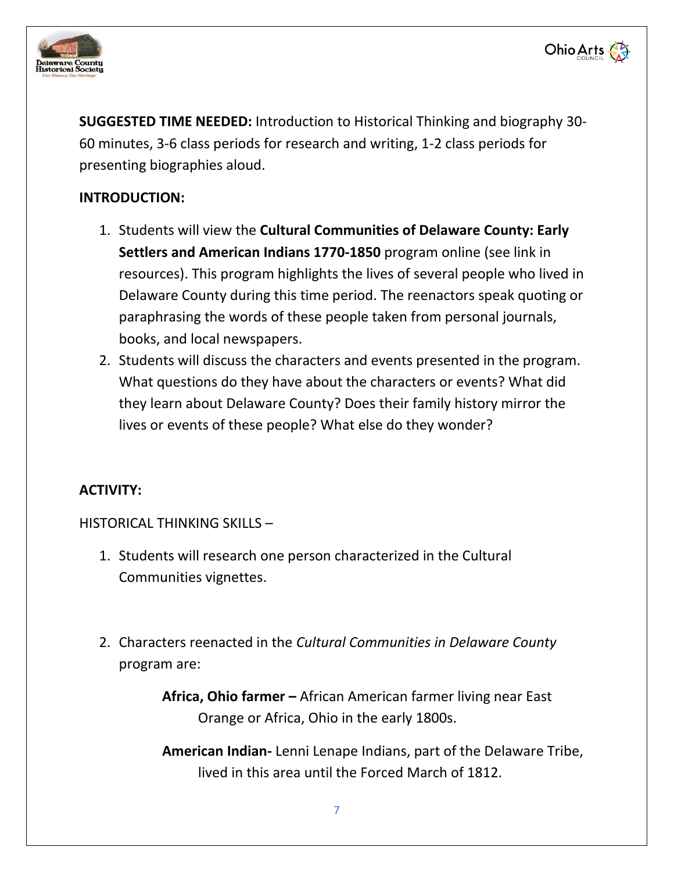



**Ohio Arts** 

# **INTRODUCTION:**

- 1. Students will view the **Cultural Communities of Delaware County: Early Settlers and American Indians 1770-1850** program online (see link in resources). This program highlights the lives of several people who lived in Delaware County during this time period. The reenactors speak quoting or paraphrasing the words of these people taken from personal journals, books, and local newspapers.
- 2. Students will discuss the characters and events presented in the program. What questions do they have about the characters or events? What did they learn about Delaware County? Does their family history mirror the lives or events of these people? What else do they wonder?

# **ACTIVITY:**

HISTORICAL THINKING SKILLS –

- 1. Students will research one person characterized in the Cultural Communities vignettes.
- 2. Characters reenacted in the *Cultural Communities in Delaware County* program are:

**Africa, Ohio farmer –** African American farmer living near East Orange or Africa, Ohio in the early 1800s.

**American Indian-** Lenni Lenape Indians, part of the Delaware Tribe, lived in this area until the Forced March of 1812.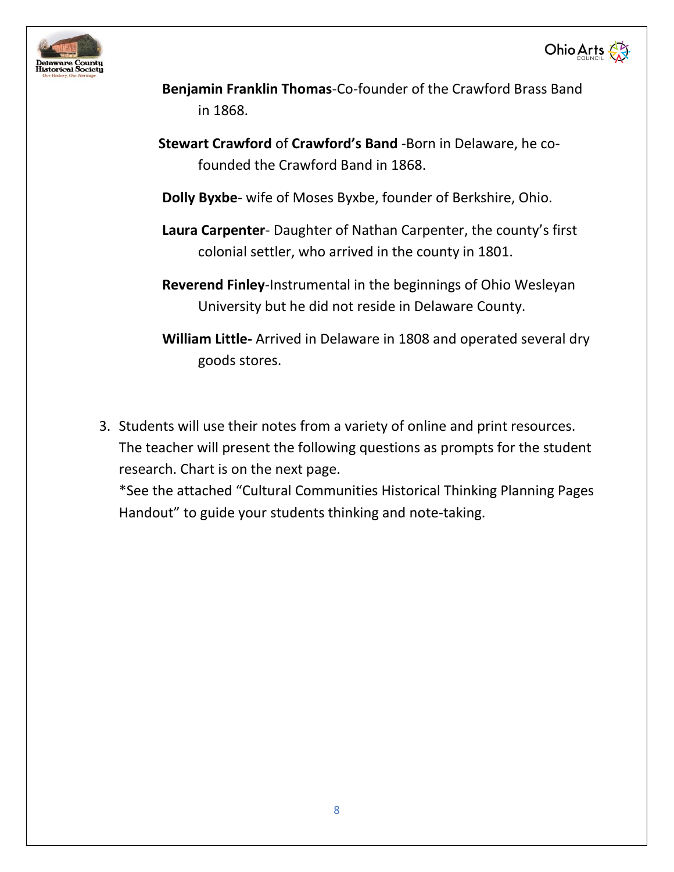



- **Benjamin Franklin Thomas**-Co-founder of the Crawford Brass Band in 1868.
- **Stewart Crawford** of **Crawford's Band** -Born in Delaware, he cofounded the Crawford Band in 1868.
- **Dolly Byxbe** wife of Moses Byxbe, founder of Berkshire, Ohio.
- **Laura Carpenter** Daughter of Nathan Carpenter, the county's first colonial settler, who arrived in the county in 1801.
- **Reverend Finley**-Instrumental in the beginnings of Ohio Wesleyan University but he did not reside in Delaware County.
- **William Little-** Arrived in Delaware in 1808 and operated several dry goods stores.
- 3. Students will use their notes from a variety of online and print resources. The teacher will present the following questions as prompts for the student research. Chart is on the next page.

\*See the attached "Cultural Communities Historical Thinking Planning Pages Handout" to guide your students thinking and note-taking.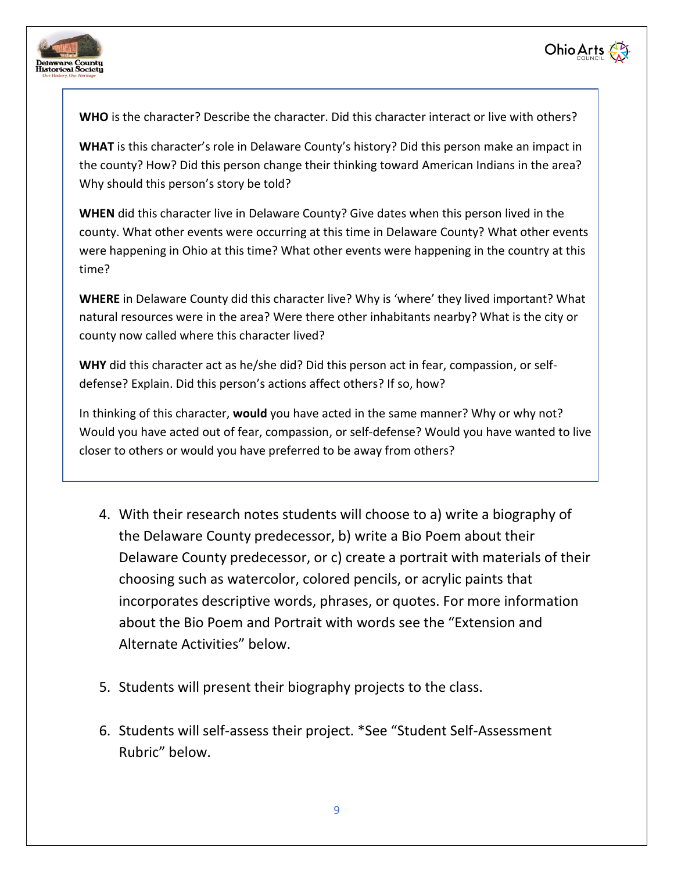



**WHO** is the character? Describe the character. Did this character interact or live with others?

**WHAT** is this character's role in Delaware County's history? Did this person make an impact in the county? How? Did this person change their thinking toward American Indians in the area? Why should this person's story be told?

**WHEN** did this character live in Delaware County? Give dates when this person lived in the county. What other events were occurring at this time in Delaware County? What other events were happening in Ohio at this time? What other events were happening in the country at this time?

**WHERE** in Delaware County did this character live? Why is 'where' they lived important? What natural resources were in the area? Were there other inhabitants nearby? What is the city or county now called where this character lived?

**WHY** did this character act as he/she did? Did this person act in fear, compassion, or selfdefense? Explain. Did this person's actions affect others? If so, how?

In thinking of this character, **would** you have acted in the same manner? Why or why not? Would you have acted out of fear, compassion, or self-defense? Would you have wanted to live closer to others or would you have preferred to be away from others?

- 4. With their research notes students will choose to a) write a biography of the Delaware County predecessor, b) write a Bio Poem about their Delaware County predecessor, or c) create a portrait with materials of their choosing such as watercolor, colored pencils, or acrylic paints that incorporates descriptive words, phrases, or quotes. For more information about the Bio Poem and Portrait with words see the "Extension and Alternate Activities" below.
- 5. Students will present their biography projects to the class.
- 6. Students will self-assess their project. \*See "Student Self-Assessment Rubric" below.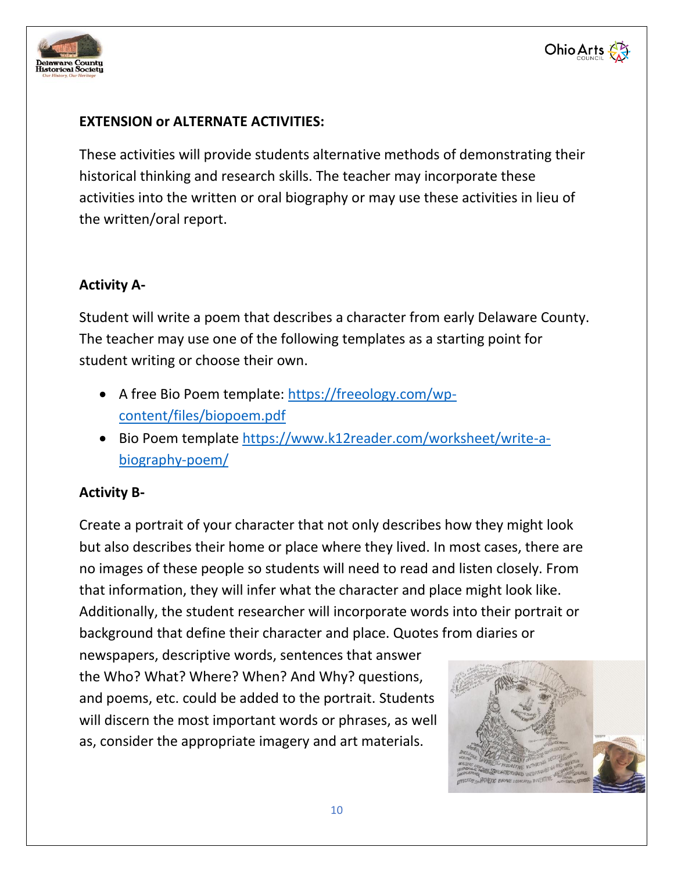



## **EXTENSION or ALTERNATE ACTIVITIES:**

These activities will provide students alternative methods of demonstrating their historical thinking and research skills. The teacher may incorporate these activities into the written or oral biography or may use these activities in lieu of the written/oral report.

## **Activity A-**

Student will write a poem that describes a character from early Delaware County. The teacher may use one of the following templates as a starting point for student writing or choose their own.

- A free Bio Poem template: [https://freeology.com/wp](https://freeology.com/wp-content/files/biopoem.pdf)[content/files/biopoem.pdf](https://freeology.com/wp-content/files/biopoem.pdf)
- Bio Poem template [https://www.k12reader.com/worksheet/write-a](https://www.k12reader.com/worksheet/write-a-biography-poem/)[biography-poem/](https://www.k12reader.com/worksheet/write-a-biography-poem/)

## **Activity B-**

Create a portrait of your character that not only describes how they might look but also describes their home or place where they lived. In most cases, there are no images of these people so students will need to read and listen closely. From that information, they will infer what the character and place might look like. Additionally, the student researcher will incorporate words into their portrait or background that define their character and place. Quotes from diaries or

newspapers, descriptive words, sentences that answer the Who? What? Where? When? And Why? questions, and poems, etc. could be added to the portrait. Students will discern the most important words or phrases, as well as, consider the appropriate imagery and art materials.

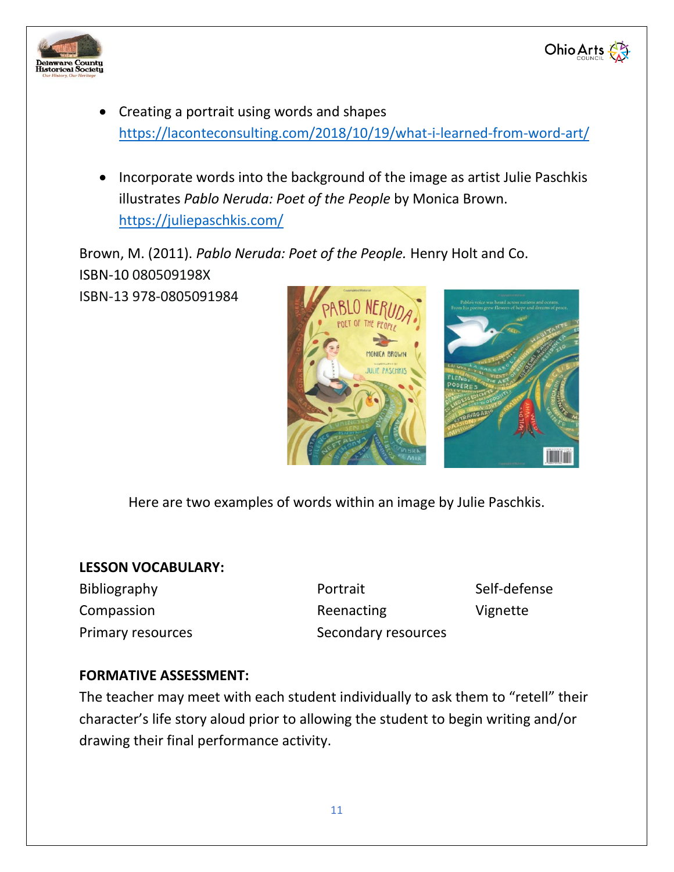



- Creating a portrait using words and shapes <https://laconteconsulting.com/2018/10/19/what-i-learned-from-word-art/>
- Incorporate words into the background of the image as artist Julie Paschkis illustrates *Pablo Neruda: Poet of the People* by Monica Brown. <https://juliepaschkis.com/>

Brown, M. (2011). *Pablo Neruda: Poet of the People.* Henry Holt and Co. ISBN-10 080509198X

ISBN-13 978-0805091984





Here are two examples of words within an image by Julie Paschkis.

## **LESSON VOCABULARY:**

Bibliography **Portrait** Portrait Self-defense Compassion **Reenacting** Vignette Primary resources Secondary resources

# **FORMATIVE ASSESSMENT:**

The teacher may meet with each student individually to ask them to "retell" their character's life story aloud prior to allowing the student to begin writing and/or drawing their final performance activity.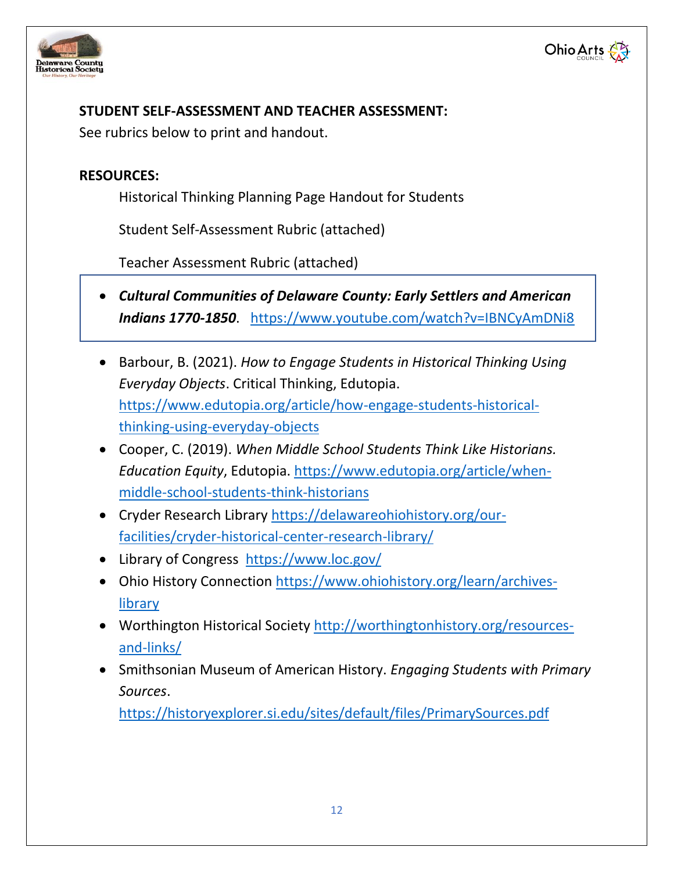



# **STUDENT SELF-ASSESSMENT AND TEACHER ASSESSMENT:**

See rubrics below to print and handout.

# **RESOURCES:**

Historical Thinking Planning Page Handout for Students

Student Self-Assessment Rubric (attached)

Teacher Assessment Rubric (attached)

- *Cultural Communities of Delaware County: Early Settlers and American Indians 1770-1850*. <https://www.youtube.com/watch?v=IBNCyAmDNi8>
- Barbour, B. (2021). *How to Engage Students in Historical Thinking Using Everyday Objects*. Critical Thinking, Edutopia. [https://www.edutopia.org/article/how-engage-students-historical](https://www.edutopia.org/article/how-engage-students-historical-thinking-using-everyday-objects)[thinking-using-everyday-objects](https://www.edutopia.org/article/how-engage-students-historical-thinking-using-everyday-objects)
- Cooper, C. (2019). *When Middle School Students Think Like Historians. Education Equity*, Edutopia. [https://www.edutopia.org/article/when](https://www.edutopia.org/article/when-middle-school-students-think-historians)[middle-school-students-think-historians](https://www.edutopia.org/article/when-middle-school-students-think-historians)
- Cryder Research Library [https://delawareohiohistory.org/our](https://delawareohiohistory.org/our-facilities/cryder-historical-center-research-library/)[facilities/cryder-historical-center-research-library/](https://delawareohiohistory.org/our-facilities/cryder-historical-center-research-library/)
- Library of Congress <https://www.loc.gov/>
- Ohio History Connection [https://www.ohiohistory.org/learn/archives](https://www.ohiohistory.org/learn/archives-library)[library](https://www.ohiohistory.org/learn/archives-library)
- Worthington Historical Society [http://worthingtonhistory.org/resources](http://worthingtonhistory.org/resources-and-links/)[and-links/](http://worthingtonhistory.org/resources-and-links/)
- Smithsonian Museum of American History. *Engaging Students with Primary Sources*.

<https://historyexplorer.si.edu/sites/default/files/PrimarySources.pdf>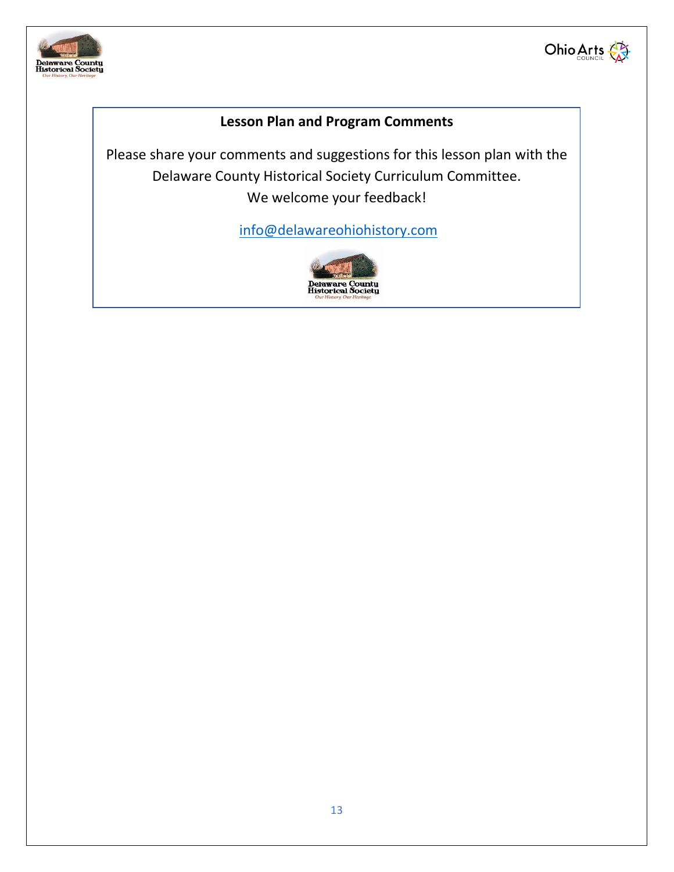



# **Lesson Plan and Program Comments**

Please share your comments and suggestions for this lesson plan with the Delaware County Historical Society Curriculum Committee. We welcome your feedback!

[info@delawareohiohistory.com](mailto:info@delawareohiohistory.com)

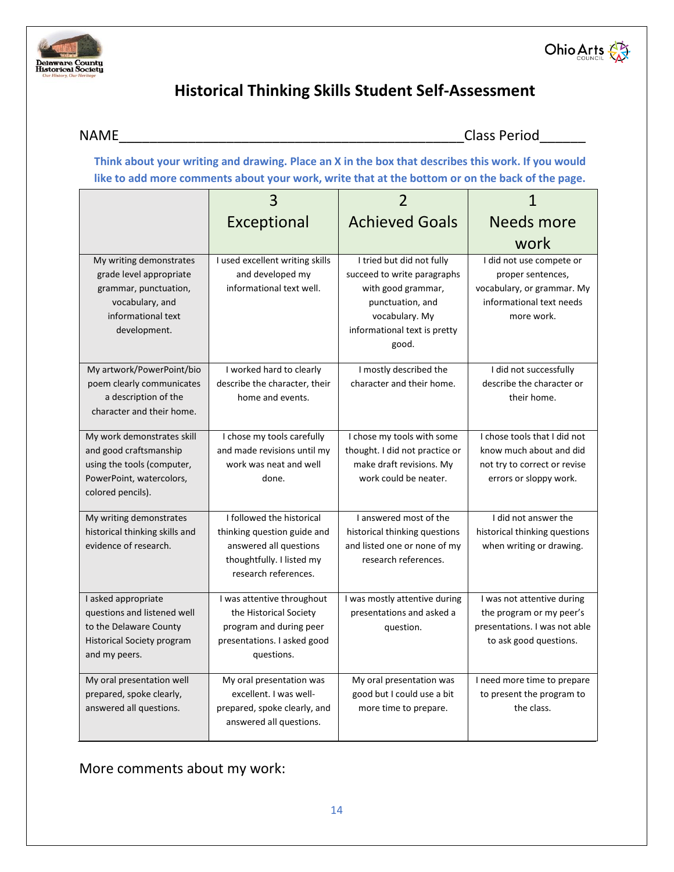



# **Historical Thinking Skills Student Self-Assessment**

NAME Class Period

**Think about your writing and drawing. Place an X in the box that describes this work. If you would like to add more comments about your work, write that at the bottom or on the back of the page.** 

|                                                                                                                                      | Exceptional                                                                                                                             | <b>Achieved Goals</b>                                                                                                                                         | <b>Needs more</b>                                                                                                     |
|--------------------------------------------------------------------------------------------------------------------------------------|-----------------------------------------------------------------------------------------------------------------------------------------|---------------------------------------------------------------------------------------------------------------------------------------------------------------|-----------------------------------------------------------------------------------------------------------------------|
|                                                                                                                                      |                                                                                                                                         |                                                                                                                                                               | work                                                                                                                  |
| My writing demonstrates<br>grade level appropriate<br>grammar, punctuation,<br>vocabulary, and<br>informational text<br>development. | I used excellent writing skills<br>and developed my<br>informational text well.                                                         | I tried but did not fully<br>succeed to write paragraphs<br>with good grammar,<br>punctuation, and<br>vocabulary. My<br>informational text is pretty<br>good. | I did not use compete or<br>proper sentences,<br>vocabulary, or grammar. My<br>informational text needs<br>more work. |
| My artwork/PowerPoint/bio<br>poem clearly communicates<br>a description of the<br>character and their home.                          | I worked hard to clearly<br>describe the character, their<br>home and events.                                                           | I mostly described the<br>character and their home.                                                                                                           | I did not successfully<br>describe the character or<br>their home.                                                    |
| My work demonstrates skill<br>and good craftsmanship<br>using the tools (computer,<br>PowerPoint, watercolors,<br>colored pencils).  | I chose my tools carefully<br>and made revisions until my<br>work was neat and well<br>done.                                            | I chose my tools with some<br>thought. I did not practice or<br>make draft revisions. My<br>work could be neater.                                             | I chose tools that I did not<br>know much about and did<br>not try to correct or revise<br>errors or sloppy work.     |
| My writing demonstrates<br>historical thinking skills and<br>evidence of research.                                                   | I followed the historical<br>thinking question guide and<br>answered all questions<br>thoughtfully. I listed my<br>research references. | I answered most of the<br>historical thinking questions<br>and listed one or none of my<br>research references.                                               | I did not answer the<br>historical thinking questions<br>when writing or drawing.                                     |
| I asked appropriate<br>questions and listened well<br>to the Delaware County<br><b>Historical Society program</b><br>and my peers.   | I was attentive throughout<br>the Historical Society<br>program and during peer<br>presentations. I asked good<br>questions.            | I was mostly attentive during<br>presentations and asked a<br>question.                                                                                       | I was not attentive during<br>the program or my peer's<br>presentations. I was not able<br>to ask good questions.     |
| My oral presentation well<br>prepared, spoke clearly,<br>answered all questions.                                                     | My oral presentation was<br>excellent. I was well-<br>prepared, spoke clearly, and<br>answered all questions.                           | My oral presentation was<br>good but I could use a bit<br>more time to prepare.                                                                               | I need more time to prepare<br>to present the program to<br>the class.                                                |

More comments about my work: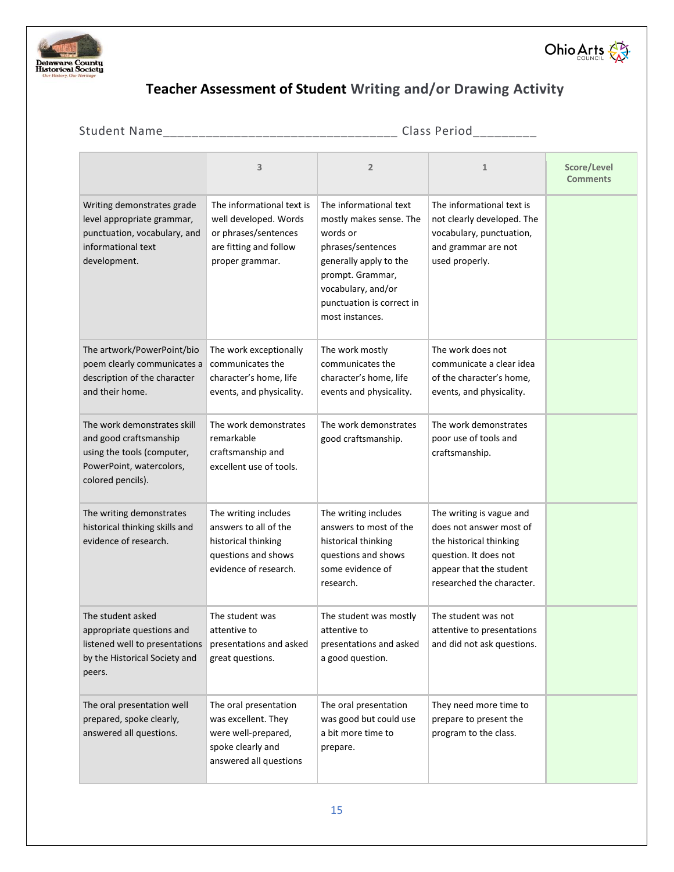



# **Teacher Assessment of Student Writing and/or Drawing Activity**

| Student Name                                                                                                                         |                                                                                                                         | Class Period                                                                                                                                                                                           |                                                                                                                                                                 |                                |
|--------------------------------------------------------------------------------------------------------------------------------------|-------------------------------------------------------------------------------------------------------------------------|--------------------------------------------------------------------------------------------------------------------------------------------------------------------------------------------------------|-----------------------------------------------------------------------------------------------------------------------------------------------------------------|--------------------------------|
|                                                                                                                                      | 3                                                                                                                       | $\overline{2}$                                                                                                                                                                                         | $\mathbf{1}$                                                                                                                                                    | Score/Level<br><b>Comments</b> |
| Writing demonstrates grade<br>level appropriate grammar,<br>punctuation, vocabulary, and<br>informational text<br>development.       | The informational text is<br>well developed. Words<br>or phrases/sentences<br>are fitting and follow<br>proper grammar. | The informational text<br>mostly makes sense. The<br>words or<br>phrases/sentences<br>generally apply to the<br>prompt. Grammar,<br>vocabulary, and/or<br>punctuation is correct in<br>most instances. | The informational text is<br>not clearly developed. The<br>vocabulary, punctuation,<br>and grammar are not<br>used properly.                                    |                                |
| The artwork/PowerPoint/bio<br>poem clearly communicates a<br>description of the character<br>and their home.                         | The work exceptionally<br>communicates the<br>character's home, life<br>events, and physicality.                        | The work mostly<br>communicates the<br>character's home, life<br>events and physicality.                                                                                                               | The work does not<br>communicate a clear idea<br>of the character's home,<br>events, and physicality.                                                           |                                |
| The work demonstrates skill<br>and good craftsmanship<br>using the tools (computer,<br>PowerPoint, watercolors,<br>colored pencils). | The work demonstrates<br>remarkable<br>craftsmanship and<br>excellent use of tools.                                     | The work demonstrates<br>good craftsmanship.                                                                                                                                                           | The work demonstrates<br>poor use of tools and<br>craftsmanship.                                                                                                |                                |
| The writing demonstrates<br>historical thinking skills and<br>evidence of research.                                                  | The writing includes<br>answers to all of the<br>historical thinking<br>questions and shows<br>evidence of research.    | The writing includes<br>answers to most of the<br>historical thinking<br>questions and shows<br>some evidence of<br>research.                                                                          | The writing is vague and<br>does not answer most of<br>the historical thinking<br>question. It does not<br>appear that the student<br>researched the character. |                                |
| The student asked<br>appropriate questions and<br>listened well to presentations<br>by the Historical Society and<br>peers.          | The student was<br>attentive to<br>presentations and asked<br>great questions.                                          | The student was mostly<br>attentive to<br>presentations and asked<br>a good question.                                                                                                                  | The student was not<br>attentive to presentations<br>and did not ask questions.                                                                                 |                                |
| The oral presentation well<br>prepared, spoke clearly,<br>answered all questions.                                                    | The oral presentation<br>was excellent. They<br>were well-prepared,<br>spoke clearly and<br>answered all questions      | The oral presentation<br>was good but could use<br>a bit more time to<br>prepare.                                                                                                                      | They need more time to<br>prepare to present the<br>program to the class.                                                                                       |                                |